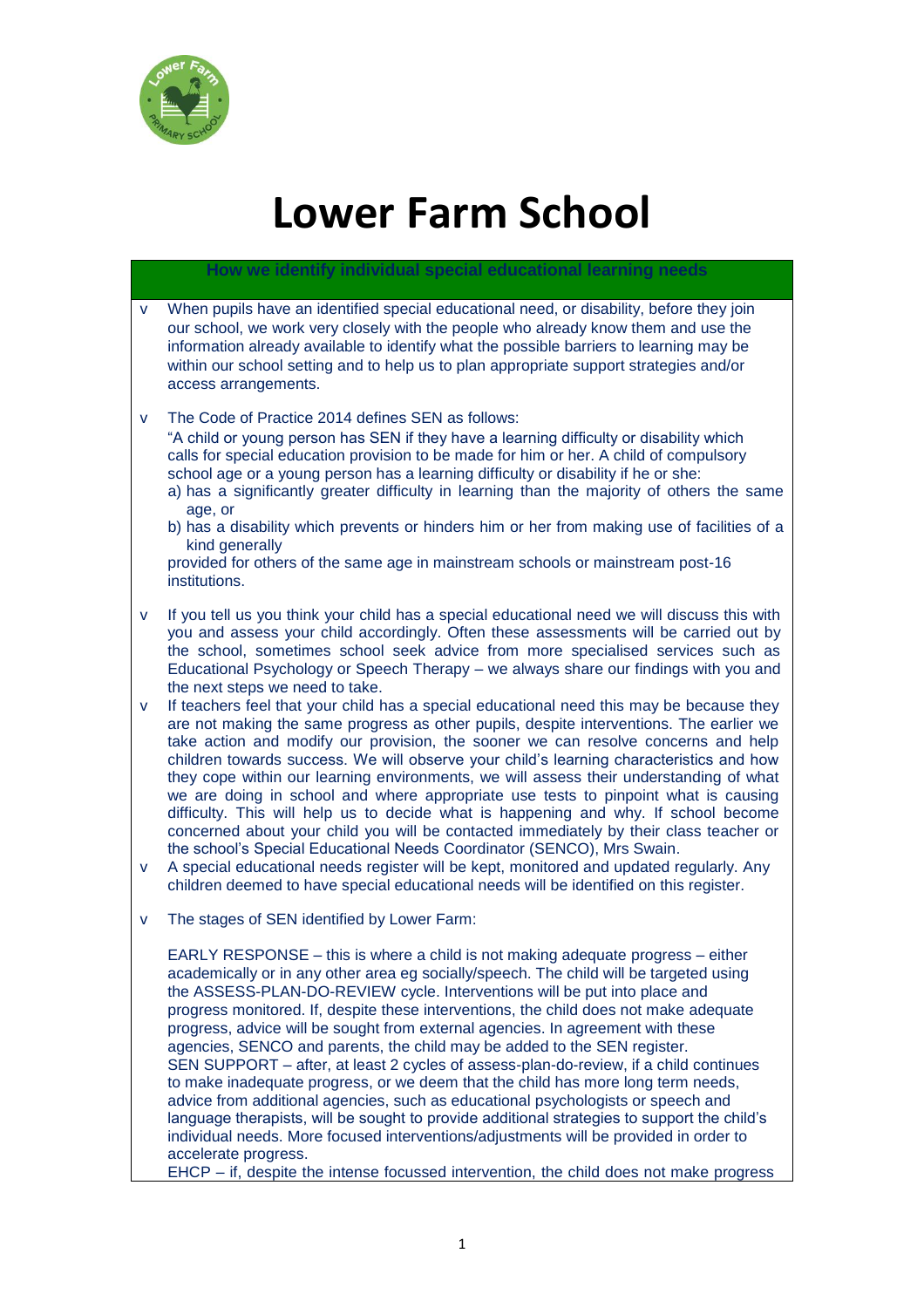

# **Lower Farm School**

## **How we identify individual special educational learning needs**

- v When pupils have an identified special educational need, or disability, before they join our school, we work very closely with the people who already know them and use the information already available to identify what the possible barriers to learning may be within our school setting and to help us to plan appropriate support strategies and/or access arrangements.
- v The Code of Practice 2014 defines SEN as follows:

"A child or young person has SEN if they have a learning difficulty or disability which calls for special education provision to be made for him or her. A child of compulsory school age or a young person has a learning difficulty or disability if he or she:

- a) has a significantly greater difficulty in learning than the majority of others the same age, or
- b) has a disability which prevents or hinders him or her from making use of facilities of a kind generally

provided for others of the same age in mainstream schools or mainstream post-16 institutions.

- v If you tell us you think your child has a special educational need we will discuss this with you and assess your child accordingly. Often these assessments will be carried out by the school, sometimes school seek advice from more specialised services such as Educational Psychology or Speech Therapy – we always share our findings with you and the next steps we need to take.
- v If teachers feel that your child has a special educational need this may be because they are not making the same progress as other pupils, despite interventions. The earlier we take action and modify our provision, the sooner we can resolve concerns and help children towards success. We will observe your child's learning characteristics and how they cope within our learning environments, we will assess their understanding of what we are doing in school and where appropriate use tests to pinpoint what is causing difficulty. This will help us to decide what is happening and why. If school become concerned about your child you will be contacted immediately by their class teacher or the school's Special Educational Needs Coordinator (SENCO), Mrs Swain.
- v A special educational needs register will be kept, monitored and updated regularly. Any children deemed to have special educational needs will be identified on this register.
- v The stages of SEN identified by Lower Farm:

EARLY RESPONSE – this is where a child is not making adequate progress – either academically or in any other area eg socially/speech. The child will be targeted using the ASSESS-PLAN-DO-REVIEW cycle. Interventions will be put into place and progress monitored. If, despite these interventions, the child does not make adequate progress, advice will be sought from external agencies. In agreement with these agencies, SENCO and parents, the child may be added to the SEN register. SEN SUPPORT – after, at least 2 cycles of assess-plan-do-review, if a child continues to make inadequate progress, or we deem that the child has more long term needs, advice from additional agencies, such as educational psychologists or speech and language therapists, will be sought to provide additional strategies to support the child's individual needs. More focused interventions/adjustments will be provided in order to accelerate progress.

EHCP – if, despite the intense focussed intervention, the child does not make progress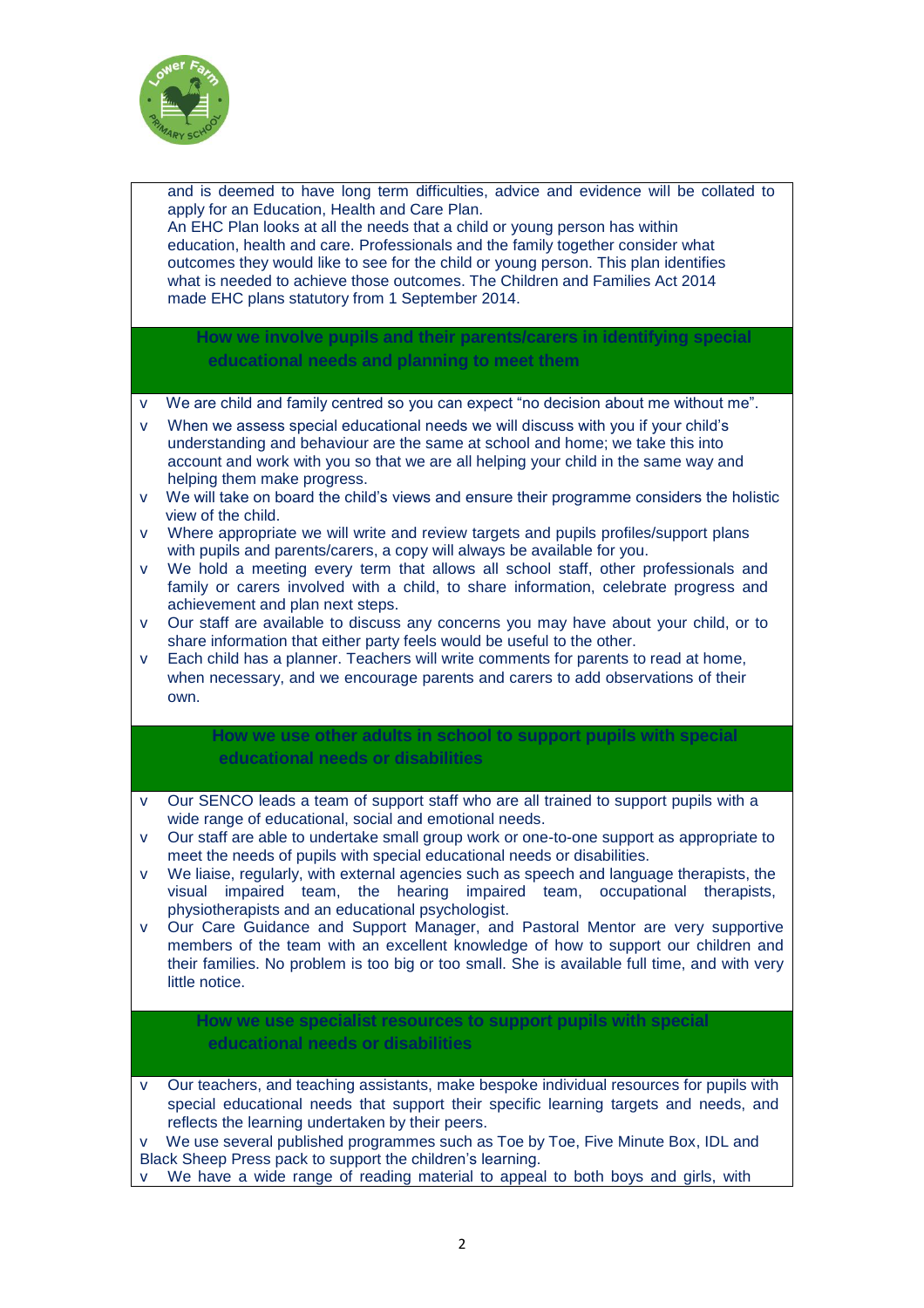

|                  | and is deemed to have long term difficulties, advice and evidence will be collated to<br>apply for an Education, Health and Care Plan.<br>An EHC Plan looks at all the needs that a child or young person has within<br>education, health and care. Professionals and the family together consider what<br>outcomes they would like to see for the child or young person. This plan identifies<br>what is needed to achieve those outcomes. The Children and Families Act 2014<br>made EHC plans statutory from 1 September 2014.                                                                                                                                                                                                                                                                                                                  |
|------------------|----------------------------------------------------------------------------------------------------------------------------------------------------------------------------------------------------------------------------------------------------------------------------------------------------------------------------------------------------------------------------------------------------------------------------------------------------------------------------------------------------------------------------------------------------------------------------------------------------------------------------------------------------------------------------------------------------------------------------------------------------------------------------------------------------------------------------------------------------|
|                  | How we involve pupils and their parents/carers in identifying special<br>educational needs and planning to meet them                                                                                                                                                                                                                                                                                                                                                                                                                                                                                                                                                                                                                                                                                                                               |
| v.<br>V<br>V     | We are child and family centred so you can expect "no decision about me without me".<br>When we assess special educational needs we will discuss with you if your child's<br>understanding and behaviour are the same at school and home; we take this into<br>account and work with you so that we are all helping your child in the same way and<br>helping them make progress.<br>We will take on board the child's views and ensure their programme considers the holistic<br>view of the child.                                                                                                                                                                                                                                                                                                                                               |
| V<br>V<br>V<br>V | Where appropriate we will write and review targets and pupils profiles/support plans<br>with pupils and parents/carers, a copy will always be available for you.<br>We hold a meeting every term that allows all school staff, other professionals and<br>family or carers involved with a child, to share information, celebrate progress and<br>achievement and plan next steps.<br>Our staff are available to discuss any concerns you may have about your child, or to<br>share information that either party feels would be useful to the other.<br>Each child has a planner. Teachers will write comments for parents to read at home,<br>when necessary, and we encourage parents and carers to add observations of their<br>own.                                                                                                           |
|                  | How we use other adults in school to support pupils with special<br>educational needs or disabilities                                                                                                                                                                                                                                                                                                                                                                                                                                                                                                                                                                                                                                                                                                                                              |
| V<br>v<br>v      | Our SENCO leads a team of support staff who are all trained to support pupils with a<br>wide range of educational, social and emotional needs.<br>Our staff are able to undertake small group work or one-to-one support as appropriate to<br>meet the needs of pupils with special educational needs or disabilities.<br>We liaise, regularly, with external agencies such as speech and language therapists, the<br>impaired team, the hearing impaired team, occupational therapists,<br>visual<br>physiotherapists and an educational psychologist.<br>Our Care Guidance and Support Manager, and Pastoral Mentor are very supportive<br>members of the team with an excellent knowledge of how to support our children and<br>their families. No problem is too big or too small. She is available full time, and with very<br>little notice. |
|                  | How we use specialist resources to support pupils with special<br>educational needs or disabilities                                                                                                                                                                                                                                                                                                                                                                                                                                                                                                                                                                                                                                                                                                                                                |
| v<br>v<br>V      | Our teachers, and teaching assistants, make bespoke individual resources for pupils with<br>special educational needs that support their specific learning targets and needs, and<br>reflects the learning undertaken by their peers.<br>We use several published programmes such as Toe by Toe, Five Minute Box, IDL and<br>Black Sheep Press pack to support the children's learning.<br>We have a wide range of reading material to appeal to both boys and girls, with                                                                                                                                                                                                                                                                                                                                                                         |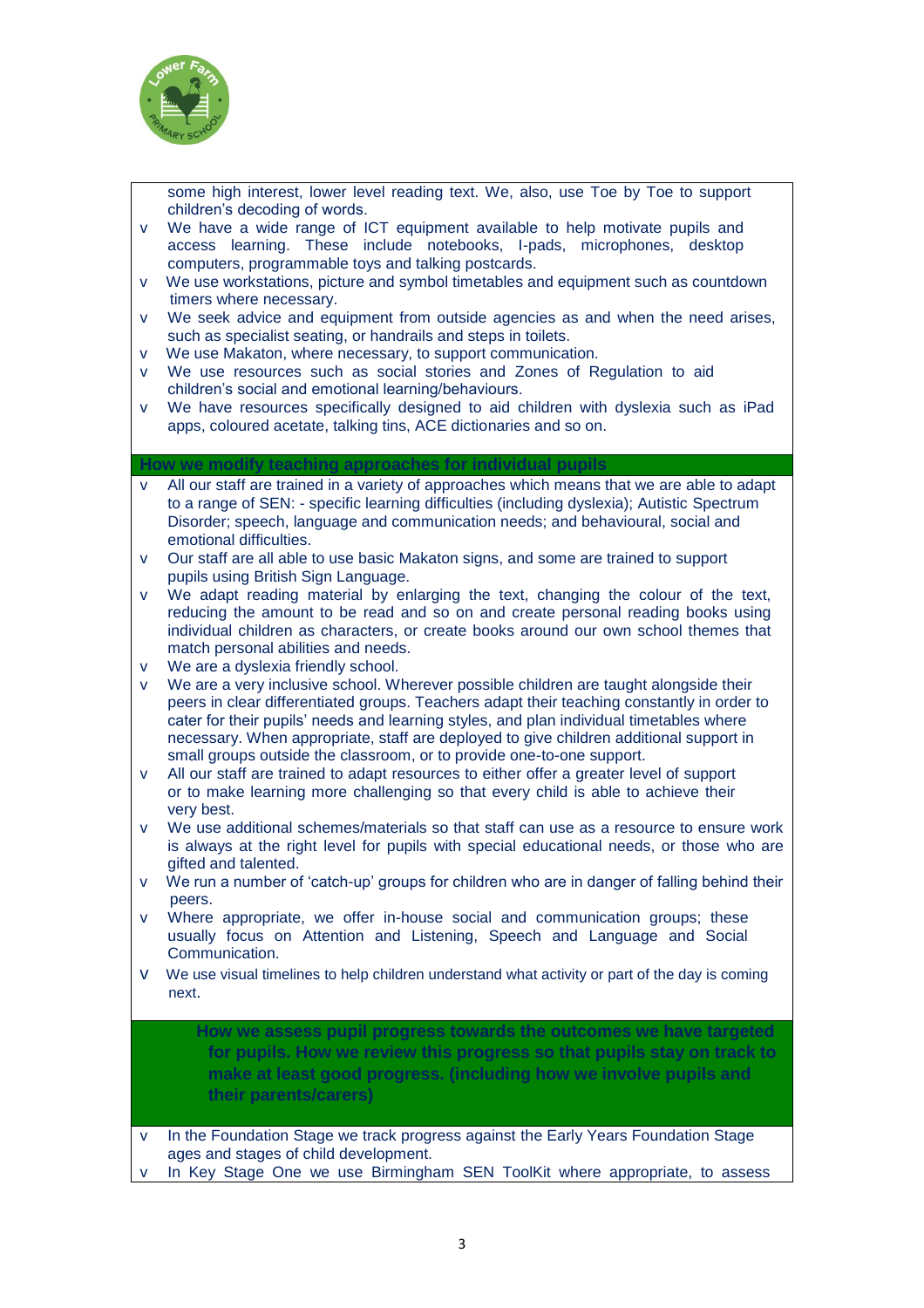

some high interest, lower level reading text. We, also, use Toe by Toe to support children's decoding of words.

- v We have a wide range of ICT equipment available to help motivate pupils and access learning. These include notebooks, I-pads, microphones, desktop computers, programmable toys and talking postcards.
- v We use workstations, picture and symbol timetables and equipment such as countdown timers where necessary.
- v We seek advice and equipment from outside agencies as and when the need arises, such as specialist seating, or handrails and steps in toilets.
- v We use Makaton, where necessary, to support communication.
- v We use resources such as social stories and Zones of Regulation to aid children's social and emotional learning/behaviours.
- v We have resources specifically designed to aid children with dyslexia such as iPad apps, coloured acetate, talking tins, ACE dictionaries and so on.

#### **How we modify teaching approaches for individual pupils**

- All our staff are trained in a variety of approaches which means that we are able to adapt to a range of SEN: - specific learning difficulties (including dyslexia); Autistic Spectrum Disorder; speech, language and communication needs; and behavioural, social and emotional difficulties.
- v Our staff are all able to use basic Makaton signs, and some are trained to support pupils using British Sign Language.
- v We adapt reading material by enlarging the text, changing the colour of the text, reducing the amount to be read and so on and create personal reading books using individual children as characters, or create books around our own school themes that match personal abilities and needs.
- v We are a dyslexia friendly school.
- v We are a very inclusive school. Wherever possible children are taught alongside their peers in clear differentiated groups. Teachers adapt their teaching constantly in order to cater for their pupils' needs and learning styles, and plan individual timetables where necessary. When appropriate, staff are deployed to give children additional support in small groups outside the classroom, or to provide one-to-one support.
- v All our staff are trained to adapt resources to either offer a greater level of support or to make learning more challenging so that every child is able to achieve their very best.
- v We use additional schemes/materials so that staff can use as a resource to ensure work is always at the right level for pupils with special educational needs, or those who are gifted and talented.
- v We run a number of 'catch-up' groups for children who are in danger of falling behind their peers.
- v Where appropriate, we offer in-house social and communication groups; these usually focus on Attention and Listening, Speech and Language and Social Communication.
- v We use visual timelines to help children understand what activity or part of the day is coming next.

**How we assess pupil progress towards the outcomes we have targeted for pupils. How we review this progress so that pupils stay on track to make at least good progress. (including how we involve pupils and their parents/carers)**

v In the Foundation Stage we track progress against the Early Years Foundation Stage ages and stages of child development.

v In Key Stage One we use Birmingham SEN ToolKit where appropriate, to assess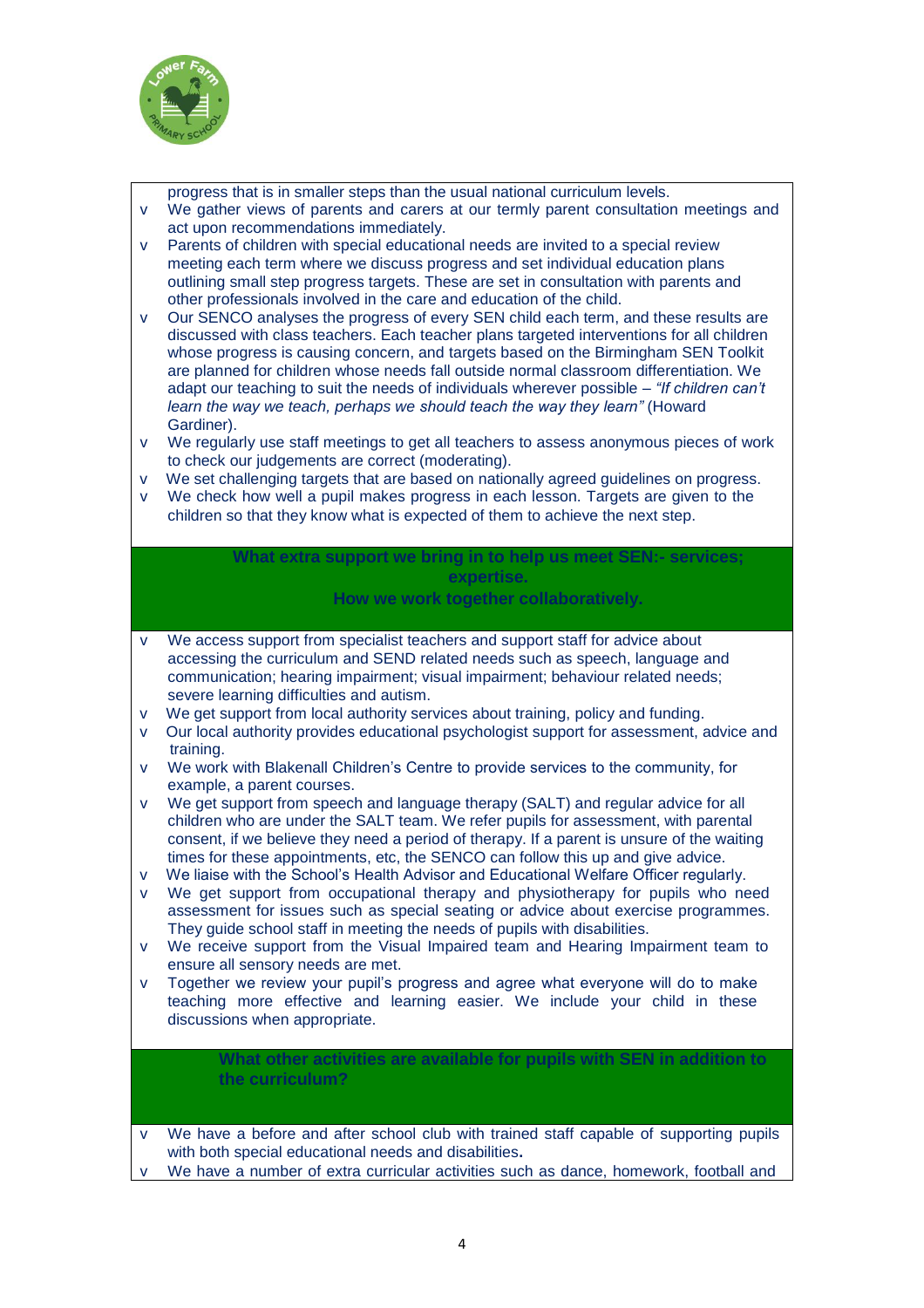

progress that is in smaller steps than the usual national curriculum levels.

- v We gather views of parents and carers at our termly parent consultation meetings and act upon recommendations immediately.
- v Parents of children with special educational needs are invited to a special review meeting each term where we discuss progress and set individual education plans outlining small step progress targets. These are set in consultation with parents and other professionals involved in the care and education of the child.
- v Our SENCO analyses the progress of every SEN child each term, and these results are discussed with class teachers. Each teacher plans targeted interventions for all children whose progress is causing concern, and targets based on the Birmingham SEN Toolkit are planned for children whose needs fall outside normal classroom differentiation. We adapt our teaching to suit the needs of individuals wherever possible – *"If children can't learn the way we teach, perhaps we should teach the way they learn"* (Howard Gardiner).
- v We regularly use staff meetings to get all teachers to assess anonymous pieces of work to check our judgements are correct (moderating).
- v We set challenging targets that are based on nationally agreed guidelines on progress.
- v We check how well a pupil makes progress in each lesson. Targets are given to the children so that they know what is expected of them to achieve the next step.

# **What extra support we bring in to help us meet SEN:- services; expertise.**

**How we work together collaboratively.**

- v We access support from specialist teachers and support staff for advice about accessing the curriculum and SEND related needs such as speech, language and communication; hearing impairment; visual impairment; behaviour related needs; severe learning difficulties and autism.
- v We get support from local authority services about training, policy and funding.
- v Our local authority provides educational psychologist support for assessment, advice and training.
- v We work with Blakenall Children's Centre to provide services to the community, for example, a parent courses.
- v We get support from speech and language therapy (SALT) and regular advice for all children who are under the SALT team. We refer pupils for assessment, with parental consent, if we believe they need a period of therapy. If a parent is unsure of the waiting times for these appointments, etc, the SENCO can follow this up and give advice.
- v We liaise with the School's Health Advisor and Educational Welfare Officer regularly.
- v We get support from occupational therapy and physiotherapy for pupils who need assessment for issues such as special seating or advice about exercise programmes. They guide school staff in meeting the needs of pupils with disabilities.
- v We receive support from the Visual Impaired team and Hearing Impairment team to ensure all sensory needs are met.
- v Together we review your pupil's progress and agree what everyone will do to make teaching more effective and learning easier. We include your child in these discussions when appropriate.

#### **What other activities are available for pupils with SEN in addition to the curriculum?**

- v We have a before and after school club with trained staff capable of supporting pupils with both special educational needs and disabilities**.**
- We have a number of extra curricular activities such as dance, homework, football and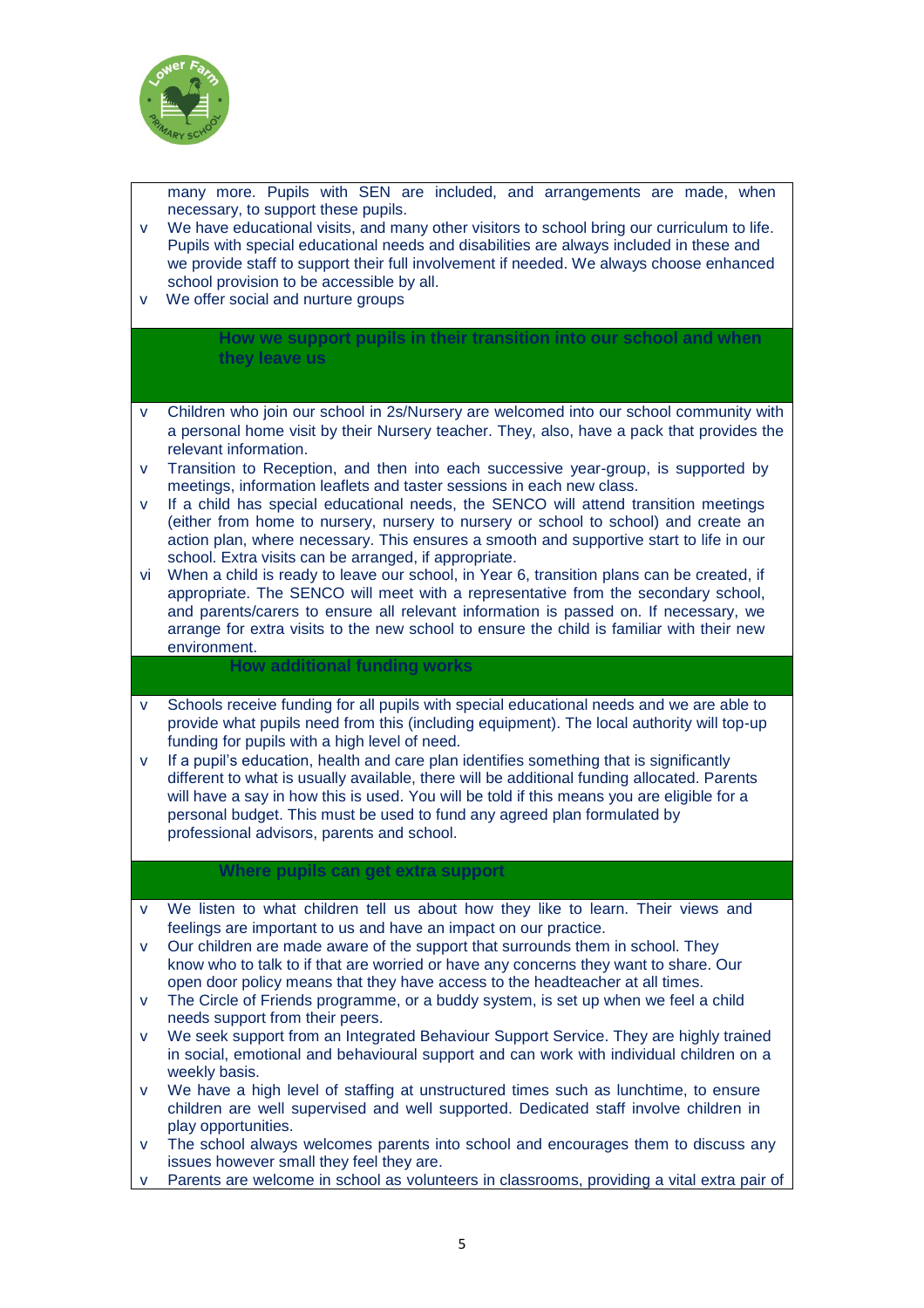

many more. Pupils with SEN are included, and arrangements are made, when necessary, to support these pupils.

- v We have educational visits, and many other visitors to school bring our curriculum to life. Pupils with special educational needs and disabilities are always included in these and we provide staff to support their full involvement if needed. We always choose enhanced school provision to be accessible by all.
- v We offer social and nurture groups

#### **How we support pupils in their transition into our school and when they leave us**

- v Children who join our school in 2s/Nursery are welcomed into our school community with a personal home visit by their Nursery teacher. They, also, have a pack that provides the relevant information.
- v Transition to Reception, and then into each successive year-group, is supported by meetings, information leaflets and taster sessions in each new class.
- v If a child has special educational needs, the SENCO will attend transition meetings (either from home to nursery, nursery to nursery or school to school) and create an action plan, where necessary. This ensures a smooth and supportive start to life in our school. Extra visits can be arranged, if appropriate.
- vi When a child is ready to leave our school, in Year 6, transition plans can be created, if appropriate. The SENCO will meet with a representative from the secondary school, and parents/carers to ensure all relevant information is passed on. If necessary, we arrange for extra visits to the new school to ensure the child is familiar with their new environment.

### **How additional funding works**

- v Schools receive funding for all pupils with special educational needs and we are able to provide what pupils need from this (including equipment). The local authority will top-up funding for pupils with a high level of need.
- v If a pupil's education, health and care plan identifies something that is significantly different to what is usually available, there will be additional funding allocated. Parents will have a say in how this is used. You will be told if this means you are eligible for a personal budget. This must be used to fund any agreed plan formulated by professional advisors, parents and school.

#### **Where pupils can get extra support**

- v We listen to what children tell us about how they like to learn. Their views and feelings are important to us and have an impact on our practice.
- v Our children are made aware of the support that surrounds them in school. They know who to talk to if that are worried or have any concerns they want to share. Our open door policy means that they have access to the headteacher at all times.
- v The Circle of Friends programme, or a buddy system, is set up when we feel a child needs support from their peers.
- v We seek support from an Integrated Behaviour Support Service. They are highly trained in social, emotional and behavioural support and can work with individual children on a weekly basis.
- v We have a high level of staffing at unstructured times such as lunchtime, to ensure children are well supervised and well supported. Dedicated staff involve children in play opportunities.
- v The school always welcomes parents into school and encourages them to discuss any issues however small they feel they are.
- Parents are welcome in school as volunteers in classrooms, providing a vital extra pair of